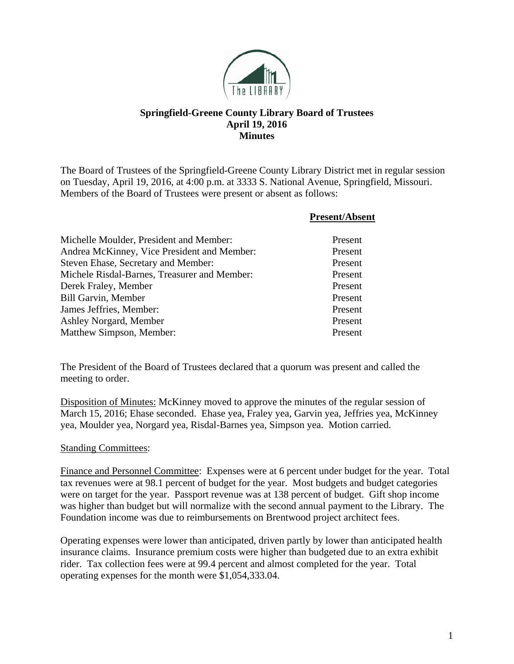

## **Springfield-Greene County Library Board of Trustees April 19, 2016 Minutes**

The Board of Trustees of the Springfield-Greene County Library District met in regular session on Tuesday, April 19, 2016, at 4:00 p.m. at 3333 S. National Avenue, Springfield, Missouri. Members of the Board of Trustees were present or absent as follows:

|                                              | <b>Present/Absent</b> |
|----------------------------------------------|-----------------------|
| Michelle Moulder, President and Member:      | Present               |
| Andrea McKinney, Vice President and Member:  | Present               |
| Steven Ehase, Secretary and Member:          | Present               |
| Michele Risdal-Barnes, Treasurer and Member: | Present               |
| Derek Fraley, Member                         | Present               |
| <b>Bill Garvin, Member</b>                   | Present               |
| James Jeffries, Member:                      | Present               |
| Ashley Norgard, Member                       | Present               |
| Matthew Simpson, Member:                     | Present               |

The President of the Board of Trustees declared that a quorum was present and called the meeting to order.

Disposition of Minutes: McKinney moved to approve the minutes of the regular session of March 15, 2016; Ehase seconded. Ehase yea, Fraley yea, Garvin yea, Jeffries yea, McKinney yea, Moulder yea, Norgard yea, Risdal-Barnes yea, Simpson yea. Motion carried.

## Standing Committees:

Finance and Personnel Committee: Expenses were at 6 percent under budget for the year. Total tax revenues were at 98.1 percent of budget for the year. Most budgets and budget categories were on target for the year. Passport revenue was at 138 percent of budget. Gift shop income was higher than budget but will normalize with the second annual payment to the Library. The Foundation income was due to reimbursements on Brentwood project architect fees.

Operating expenses were lower than anticipated, driven partly by lower than anticipated health insurance claims. Insurance premium costs were higher than budgeted due to an extra exhibit rider. Tax collection fees were at 99.4 percent and almost completed for the year. Total operating expenses for the month were \$1,054,333.04.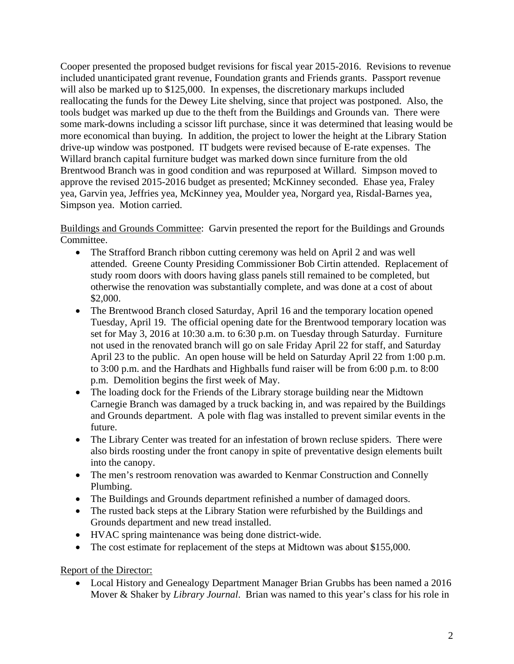Cooper presented the proposed budget revisions for fiscal year 2015-2016. Revisions to revenue included unanticipated grant revenue, Foundation grants and Friends grants. Passport revenue will also be marked up to \$125,000. In expenses, the discretionary markups included reallocating the funds for the Dewey Lite shelving, since that project was postponed. Also, the tools budget was marked up due to the theft from the Buildings and Grounds van. There were some mark-downs including a scissor lift purchase, since it was determined that leasing would be more economical than buying. In addition, the project to lower the height at the Library Station drive-up window was postponed. IT budgets were revised because of E-rate expenses. The Willard branch capital furniture budget was marked down since furniture from the old Brentwood Branch was in good condition and was repurposed at Willard. Simpson moved to approve the revised 2015-2016 budget as presented; McKinney seconded. Ehase yea, Fraley yea, Garvin yea, Jeffries yea, McKinney yea, Moulder yea, Norgard yea, Risdal-Barnes yea, Simpson yea. Motion carried.

Buildings and Grounds Committee: Garvin presented the report for the Buildings and Grounds Committee.

- The Strafford Branch ribbon cutting ceremony was held on April 2 and was well attended. Greene County Presiding Commissioner Bob Cirtin attended. Replacement of study room doors with doors having glass panels still remained to be completed, but otherwise the renovation was substantially complete, and was done at a cost of about \$2,000.
- The Brentwood Branch closed Saturday, April 16 and the temporary location opened Tuesday, April 19. The official opening date for the Brentwood temporary location was set for May 3, 2016 at 10:30 a.m. to 6:30 p.m. on Tuesday through Saturday. Furniture not used in the renovated branch will go on sale Friday April 22 for staff, and Saturday April 23 to the public. An open house will be held on Saturday April 22 from 1:00 p.m. to 3:00 p.m. and the Hardhats and Highballs fund raiser will be from 6:00 p.m. to 8:00 p.m. Demolition begins the first week of May.
- The loading dock for the Friends of the Library storage building near the Midtown Carnegie Branch was damaged by a truck backing in, and was repaired by the Buildings and Grounds department. A pole with flag was installed to prevent similar events in the future.
- The Library Center was treated for an infestation of brown recluse spiders. There were also birds roosting under the front canopy in spite of preventative design elements built into the canopy.
- The men's restroom renovation was awarded to Kenmar Construction and Connelly Plumbing.
- The Buildings and Grounds department refinished a number of damaged doors.
- The rusted back steps at the Library Station were refurbished by the Buildings and Grounds department and new tread installed.
- HVAC spring maintenance was being done district-wide.
- The cost estimate for replacement of the steps at Midtown was about \$155,000.

Report of the Director:

• Local History and Genealogy Department Manager Brian Grubbs has been named a 2016 Mover & Shaker by *Library Journal*. Brian was named to this year's class for his role in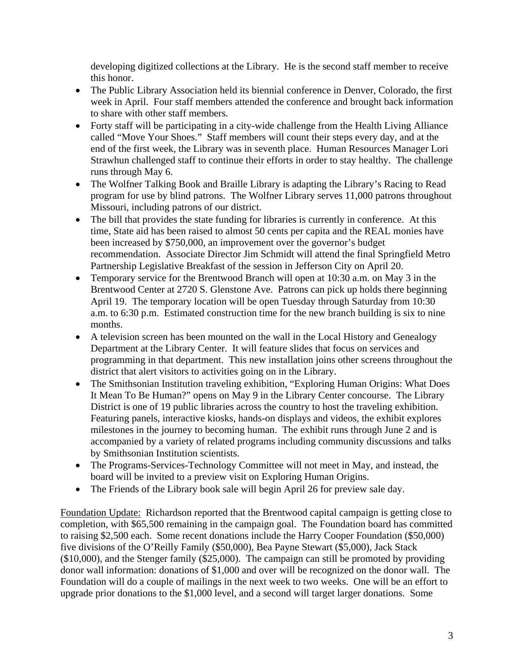developing digitized collections at the Library. He is the second staff member to receive this honor.

- The Public Library Association held its biennial conference in Denver, Colorado, the first week in April. Four staff members attended the conference and brought back information to share with other staff members.
- Forty staff will be participating in a city-wide challenge from the Health Living Alliance called "Move Your Shoes." Staff members will count their steps every day, and at the end of the first week, the Library was in seventh place. Human Resources Manager Lori Strawhun challenged staff to continue their efforts in order to stay healthy. The challenge runs through May 6.
- The Wolfner Talking Book and Braille Library is adapting the Library's Racing to Read program for use by blind patrons. The Wolfner Library serves 11,000 patrons throughout Missouri, including patrons of our district.
- The bill that provides the state funding for libraries is currently in conference. At this time, State aid has been raised to almost 50 cents per capita and the REAL monies have been increased by \$750,000, an improvement over the governor's budget recommendation. Associate Director Jim Schmidt will attend the final Springfield Metro Partnership Legislative Breakfast of the session in Jefferson City on April 20.
- Temporary service for the Brentwood Branch will open at 10:30 a.m. on May 3 in the Brentwood Center at 2720 S. Glenstone Ave. Patrons can pick up holds there beginning April 19. The temporary location will be open Tuesday through Saturday from 10:30 a.m. to 6:30 p.m. Estimated construction time for the new branch building is six to nine months.
- A television screen has been mounted on the wall in the Local History and Genealogy Department at the Library Center. It will feature slides that focus on services and programming in that department. This new installation joins other screens throughout the district that alert visitors to activities going on in the Library.
- The Smithsonian Institution traveling exhibition, "Exploring Human Origins: What Does It Mean To Be Human?" opens on May 9 in the Library Center concourse. The Library District is one of 19 public libraries across the country to host the traveling exhibition. Featuring panels, interactive kiosks, hands-on displays and videos, the exhibit explores milestones in the journey to becoming human. The exhibit runs through June 2 and is accompanied by a variety of related programs including community discussions and talks by Smithsonian Institution scientists.
- The Programs-Services-Technology Committee will not meet in May, and instead, the board will be invited to a preview visit on Exploring Human Origins.
- The Friends of the Library book sale will begin April 26 for preview sale day.

Foundation Update: Richardson reported that the Brentwood capital campaign is getting close to completion, with \$65,500 remaining in the campaign goal. The Foundation board has committed to raising \$2,500 each. Some recent donations include the Harry Cooper Foundation (\$50,000) five divisions of the O'Reilly Family (\$50,000), Bea Payne Stewart (\$5,000), Jack Stack (\$10,000), and the Stenger family (\$25,000). The campaign can still be promoted by providing donor wall information: donations of \$1,000 and over will be recognized on the donor wall. The Foundation will do a couple of mailings in the next week to two weeks. One will be an effort to upgrade prior donations to the \$1,000 level, and a second will target larger donations. Some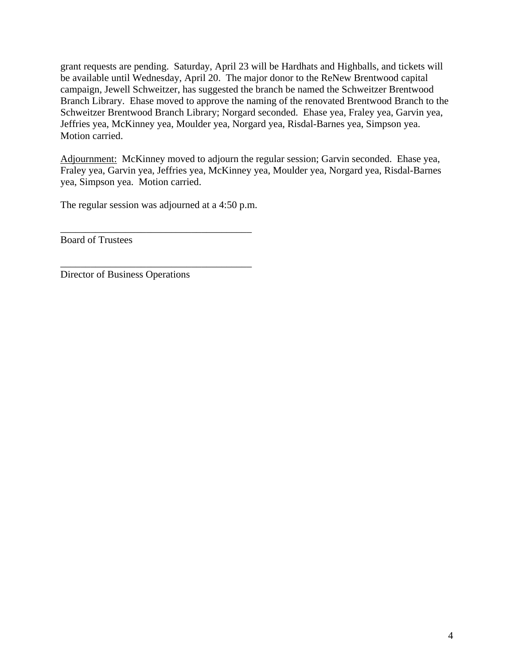grant requests are pending. Saturday, April 23 will be Hardhats and Highballs, and tickets will be available until Wednesday, April 20. The major donor to the ReNew Brentwood capital campaign, Jewell Schweitzer, has suggested the branch be named the Schweitzer Brentwood Branch Library. Ehase moved to approve the naming of the renovated Brentwood Branch to the Schweitzer Brentwood Branch Library; Norgard seconded. Ehase yea, Fraley yea, Garvin yea, Jeffries yea, McKinney yea, Moulder yea, Norgard yea, Risdal-Barnes yea, Simpson yea. Motion carried.

Adjournment: McKinney moved to adjourn the regular session; Garvin seconded. Ehase yea, Fraley yea, Garvin yea, Jeffries yea, McKinney yea, Moulder yea, Norgard yea, Risdal-Barnes yea, Simpson yea. Motion carried.

The regular session was adjourned at a 4:50 p.m.

\_\_\_\_\_\_\_\_\_\_\_\_\_\_\_\_\_\_\_\_\_\_\_\_\_\_\_\_\_\_\_\_\_\_\_\_\_\_

\_\_\_\_\_\_\_\_\_\_\_\_\_\_\_\_\_\_\_\_\_\_\_\_\_\_\_\_\_\_\_\_\_\_\_\_\_\_

Board of Trustees

Director of Business Operations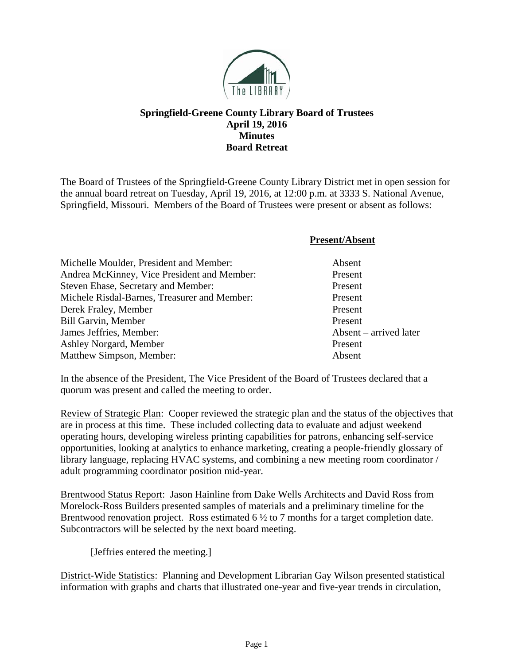

## **Springfield-Greene County Library Board of Trustees April 19, 2016 Minutes Board Retreat**

The Board of Trustees of the Springfield-Greene County Library District met in open session for the annual board retreat on Tuesday, April 19, 2016, at 12:00 p.m. at 3333 S. National Avenue, Springfield, Missouri. Members of the Board of Trustees were present or absent as follows:

|                                              | <b>Present/Absent</b>  |
|----------------------------------------------|------------------------|
| Michelle Moulder, President and Member:      | Absent                 |
| Andrea McKinney, Vice President and Member:  | Present                |
| Steven Ehase, Secretary and Member:          | Present                |
| Michele Risdal-Barnes, Treasurer and Member: | Present                |
| Derek Fraley, Member                         | Present                |
| <b>Bill Garvin, Member</b>                   | Present                |
| James Jeffries, Member:                      | Absent – arrived later |
| Ashley Norgard, Member                       | Present                |
| Matthew Simpson, Member:                     | Absent                 |

In the absence of the President, The Vice President of the Board of Trustees declared that a quorum was present and called the meeting to order.

Review of Strategic Plan: Cooper reviewed the strategic plan and the status of the objectives that are in process at this time. These included collecting data to evaluate and adjust weekend operating hours, developing wireless printing capabilities for patrons, enhancing self-service opportunities, looking at analytics to enhance marketing, creating a people-friendly glossary of library language, replacing HVAC systems, and combining a new meeting room coordinator / adult programming coordinator position mid-year.

Brentwood Status Report: Jason Hainline from Dake Wells Architects and David Ross from Morelock-Ross Builders presented samples of materials and a preliminary timeline for the Brentwood renovation project. Ross estimated 6  $\frac{1}{2}$  to 7 months for a target completion date. Subcontractors will be selected by the next board meeting.

[Jeffries entered the meeting.]

District-Wide Statistics: Planning and Development Librarian Gay Wilson presented statistical information with graphs and charts that illustrated one-year and five-year trends in circulation,